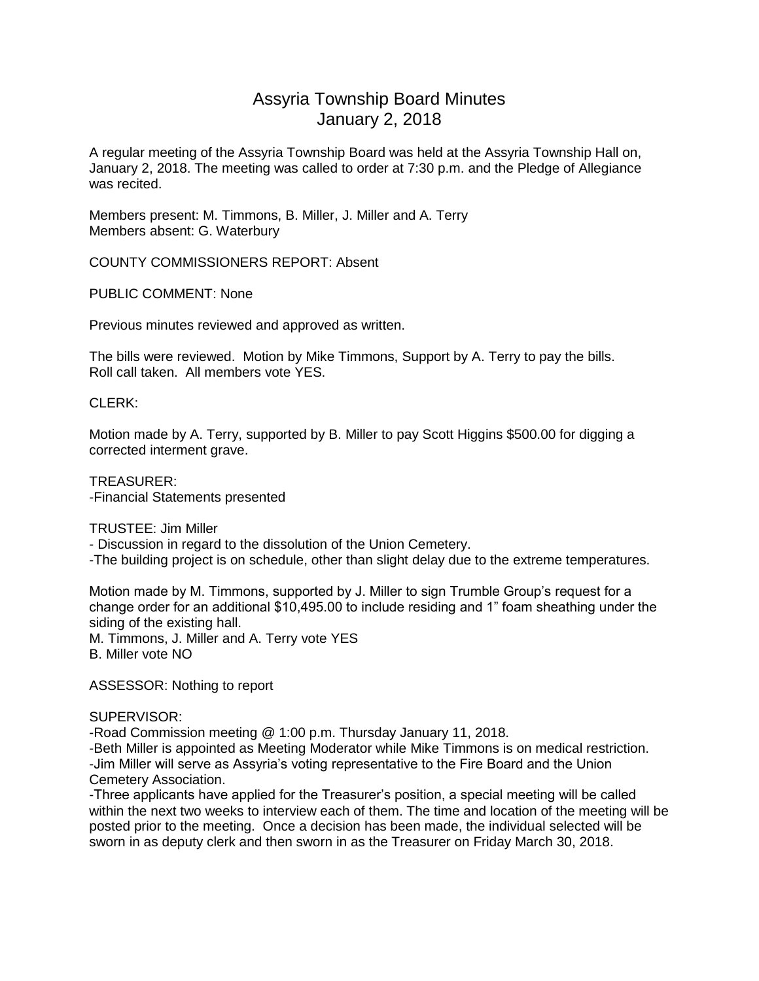### Assyria Township Board Minutes January 2, 2018

A regular meeting of the Assyria Township Board was held at the Assyria Township Hall on, January 2, 2018. The meeting was called to order at 7:30 p.m. and the Pledge of Allegiance was recited.

Members present: M. Timmons, B. Miller, J. Miller and A. Terry Members absent: G. Waterbury

COUNTY COMMISSIONERS REPORT: Absent

PUBLIC COMMENT: None

Previous minutes reviewed and approved as written.

The bills were reviewed. Motion by Mike Timmons, Support by A. Terry to pay the bills. Roll call taken. All members vote YES.

### CLERK:

Motion made by A. Terry, supported by B. Miller to pay Scott Higgins \$500.00 for digging a corrected interment grave.

TREASURER: -Financial Statements presented

TRUSTEE: Jim Miller

- Discussion in regard to the dissolution of the Union Cemetery.

-The building project is on schedule, other than slight delay due to the extreme temperatures.

Motion made by M. Timmons, supported by J. Miller to sign Trumble Group's request for a change order for an additional \$10,495.00 to include residing and 1" foam sheathing under the siding of the existing hall.

M. Timmons, J. Miller and A. Terry vote YES B. Miller vote NO

ASSESSOR: Nothing to report

### SUPERVISOR:

-Road Commission meeting @ 1:00 p.m. Thursday January 11, 2018. -Beth Miller is appointed as Meeting Moderator while Mike Timmons is on medical restriction. -Jim Miller will serve as Assyria's voting representative to the Fire Board and the Union Cemetery Association.

-Three applicants have applied for the Treasurer's position, a special meeting will be called within the next two weeks to interview each of them. The time and location of the meeting will be posted prior to the meeting. Once a decision has been made, the individual selected will be sworn in as deputy clerk and then sworn in as the Treasurer on Friday March 30, 2018.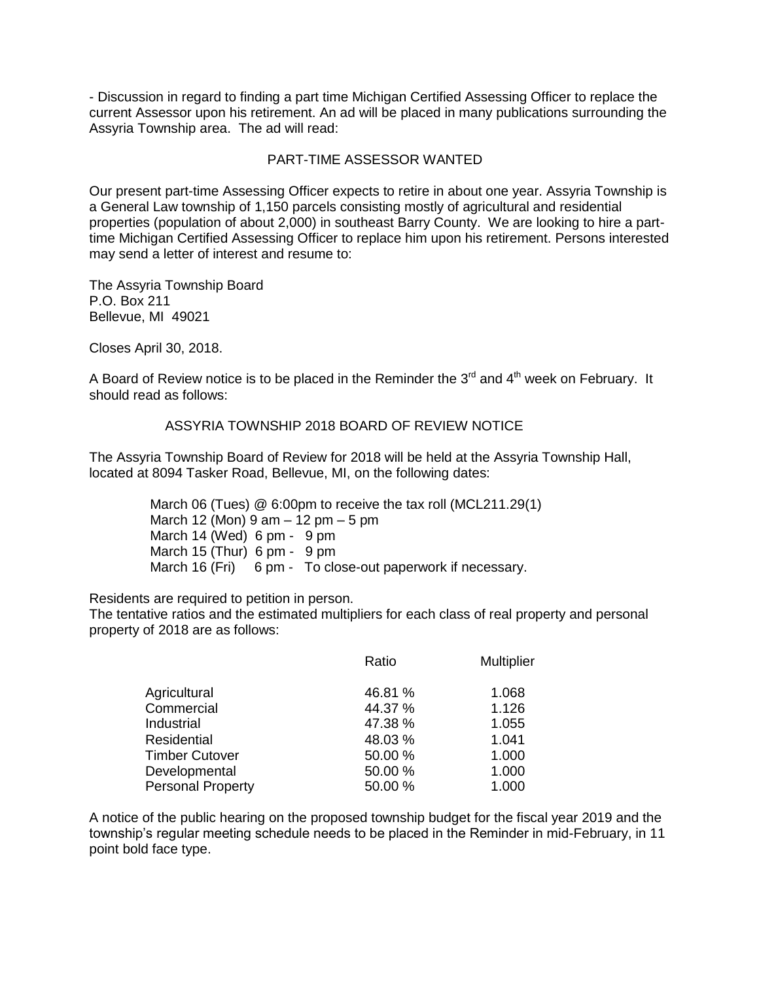- Discussion in regard to finding a part time Michigan Certified Assessing Officer to replace the current Assessor upon his retirement. An ad will be placed in many publications surrounding the Assyria Township area. The ad will read:

### PART-TIME ASSESSOR WANTED

Our present part-time Assessing Officer expects to retire in about one year. Assyria Township is a General Law township of 1,150 parcels consisting mostly of agricultural and residential properties (population of about 2,000) in southeast Barry County. We are looking to hire a parttime Michigan Certified Assessing Officer to replace him upon his retirement. Persons interested may send a letter of interest and resume to:

The Assyria Township Board P.O. Box 211 Bellevue, MI 49021

Closes April 30, 2018.

A Board of Review notice is to be placed in the Reminder the  $3<sup>rd</sup>$  and  $4<sup>th</sup>$  week on February. It should read as follows:

### ASSYRIA TOWNSHIP 2018 BOARD OF REVIEW NOTICE

The Assyria Township Board of Review for 2018 will be held at the Assyria Township Hall, located at 8094 Tasker Road, Bellevue, MI, on the following dates:

> March 06 (Tues) @ 6:00pm to receive the tax roll (MCL211.29(1) March 12 (Mon)  $9 \text{ am} - 12 \text{ pm} - 5 \text{ pm}$ March 14 (Wed) 6 pm - 9 pm March 15 (Thur) 6 pm - 9 pm March 16 (Fri) 6 pm - To close-out paperwork if necessary.

Residents are required to petition in person.

The tentative ratios and the estimated multipliers for each class of real property and personal property of 2018 are as follows:

|                          | Ratio   | <b>Multiplier</b> |
|--------------------------|---------|-------------------|
| Agricultural             | 46.81 % | 1.068             |
| Commercial               | 44.37 % | 1.126             |
| Industrial               | 47.38 % | 1.055             |
| <b>Residential</b>       | 48.03%  | 1.041             |
| <b>Timber Cutover</b>    | 50.00 % | 1.000             |
| Developmental            | 50.00 % | 1.000             |
| <b>Personal Property</b> | 50.00 % | 1.000             |

A notice of the public hearing on the proposed township budget for the fiscal year 2019 and the township's regular meeting schedule needs to be placed in the Reminder in mid-February, in 11 point bold face type.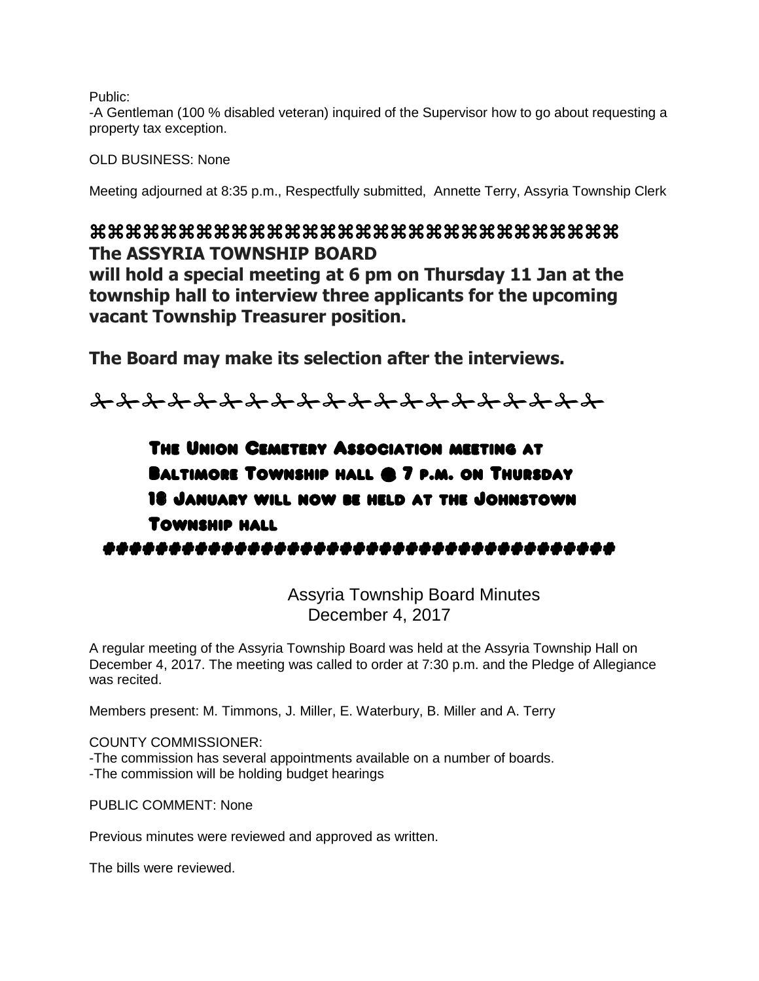Public:

-A Gentleman (100 % disabled veteran) inquired of the Supervisor how to go about requesting a property tax exception.

OLD BUSINESS: None

Meeting adjourned at 8:35 p.m., Respectfully submitted, Annette Terry, Assyria Township Clerk

## **The ASSYRIA TOWNSHIP BOARD**

**will hold a special meeting at 6 pm on Thursday 11 Jan at the township hall to interview three applicants for the upcoming vacant Township Treasurer position.**

**The Board may make its selection after the interviews.** 

<u> In Indian Indian Indian Indian Indian Indian Indian Indian Indian Indian Indian Indian Indian Indian Indian Indian Indian Indian Indian Indian Indian Indian Indian Indian Indian Indian Indian Indian Indian Indian Indian </u>

# The Union Cemetery Association meeting at Baltimore Township hall @ 7 p.m. on Thursday 18 January will now be held at the Johnstown Township hall #######################################

Assyria Township Board Minutes December 4, 2017

A regular meeting of the Assyria Township Board was held at the Assyria Township Hall on December 4, 2017. The meeting was called to order at 7:30 p.m. and the Pledge of Allegiance was recited.

Members present: M. Timmons, J. Miller, E. Waterbury, B. Miller and A. Terry

COUNTY COMMISSIONER:

-The commission has several appointments available on a number of boards. -The commission will be holding budget hearings

PUBLIC COMMENT: None

Previous minutes were reviewed and approved as written.

The bills were reviewed.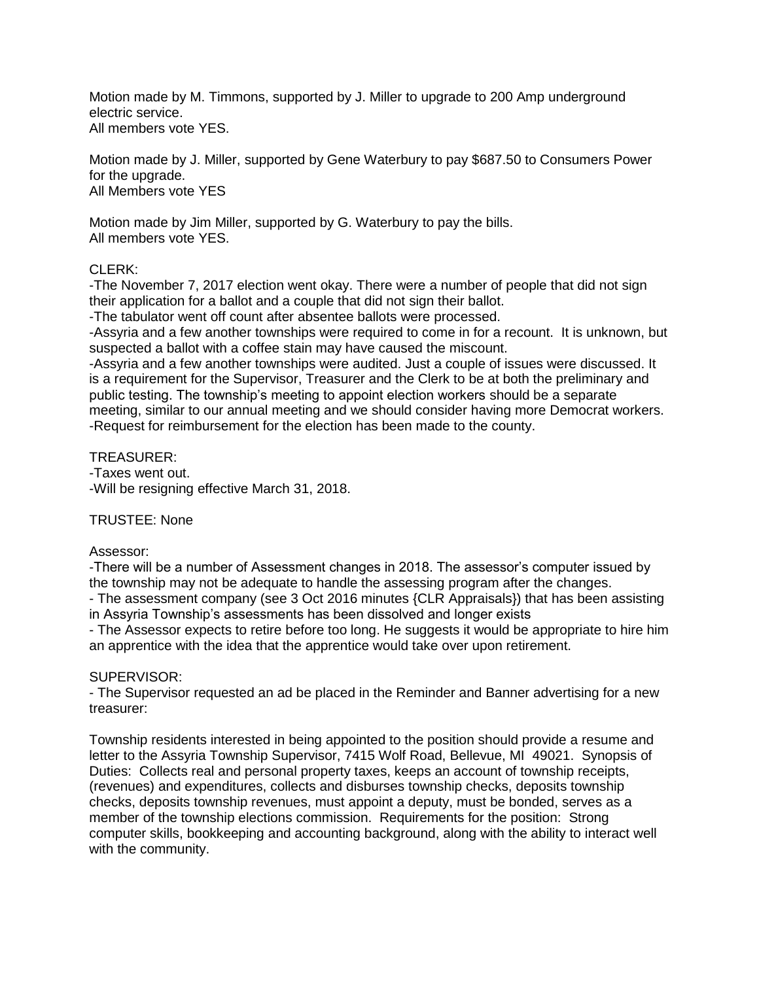Motion made by M. Timmons, supported by J. Miller to upgrade to 200 Amp underground electric service. All members vote YES.

Motion made by J. Miller, supported by Gene Waterbury to pay \$687.50 to Consumers Power for the upgrade. All Members vote YES

Motion made by Jim Miller, supported by G. Waterbury to pay the bills. All members vote YES.

### CLERK:

-The November 7, 2017 election went okay. There were a number of people that did not sign their application for a ballot and a couple that did not sign their ballot.

-The tabulator went off count after absentee ballots were processed.

-Assyria and a few another townships were required to come in for a recount. It is unknown, but suspected a ballot with a coffee stain may have caused the miscount.

-Assyria and a few another townships were audited. Just a couple of issues were discussed. It is a requirement for the Supervisor, Treasurer and the Clerk to be at both the preliminary and public testing. The township's meeting to appoint election workers should be a separate meeting, similar to our annual meeting and we should consider having more Democrat workers. -Request for reimbursement for the election has been made to the county.

TREASURER: -Taxes went out.

-Will be resigning effective March 31, 2018.

### TRUSTEE: None

### Assessor:

-There will be a number of Assessment changes in 2018. The assessor's computer issued by the township may not be adequate to handle the assessing program after the changes.

- The assessment company (see 3 Oct 2016 minutes {CLR Appraisals}) that has been assisting in Assyria Township's assessments has been dissolved and longer exists

- The Assessor expects to retire before too long. He suggests it would be appropriate to hire him an apprentice with the idea that the apprentice would take over upon retirement.

### SUPERVISOR:

- The Supervisor requested an ad be placed in the Reminder and Banner advertising for a new treasurer:

Township residents interested in being appointed to the position should provide a resume and letter to the Assyria Township Supervisor, 7415 Wolf Road, Bellevue, MI 49021. Synopsis of Duties: Collects real and personal property taxes, keeps an account of township receipts, (revenues) and expenditures, collects and disburses township checks, deposits township checks, deposits township revenues, must appoint a deputy, must be bonded, serves as a member of the township elections commission. Requirements for the position: Strong computer skills, bookkeeping and accounting background, along with the ability to interact well with the community.